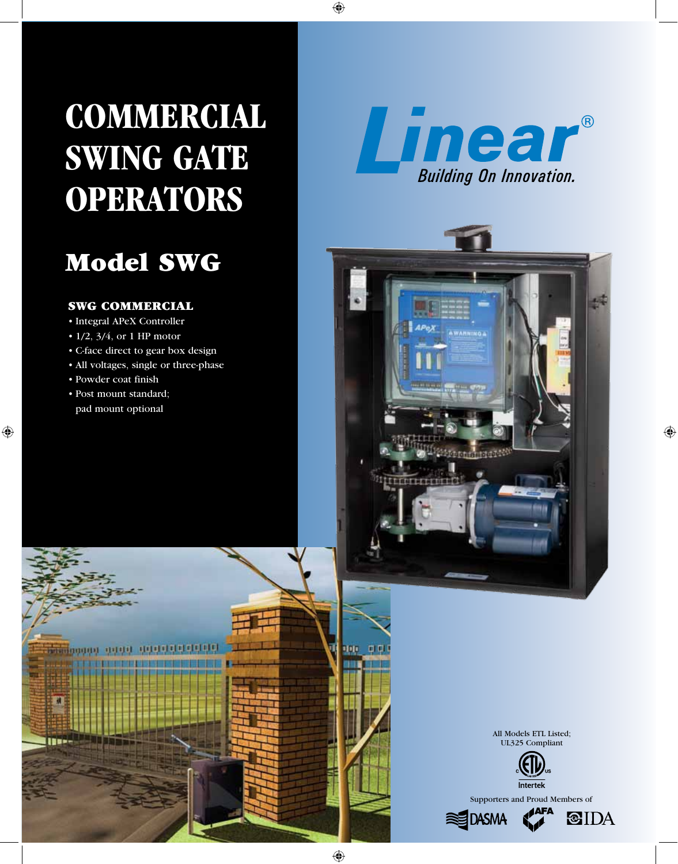# **COMMERCIAL SWING GATE OPERATORS**

## Model SWG

#### SWG COMMERCIAL

- • Integral APeX Controller
- $1/2$ ,  $3/4$ , or 1 HP motor
- • C-face direct to gear box design
- All voltages, single or three-phase
- • Powder coat finish
- • Post mount standard; pad mount optional



**NARNING A** 













硕